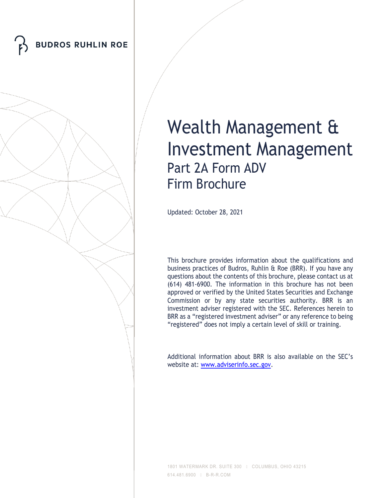



# Wealth Management & Investment Management Part 2A Form ADV Firm Brochure

Updated: October 28, 2021

This brochure provides information about the qualifications and business practices of Budros, Ruhlin & Roe (BRR). If you have any questions about the contents of this brochure, please contact us at (614) 481-6900. The information in this brochure has not been approved or verified by the United States Securities and Exchange Commission or by any state securities authority. BRR is an investment adviser registered with the SEC. References herein to BRR as a "registered investment adviser" or any reference to being "registered" does not imply a certain level of skill or training.

Additional information about BRR is also available on the SEC's website at: [www.adviserinfo.sec.gov.](http://www.adviserinfo.sec.gov/)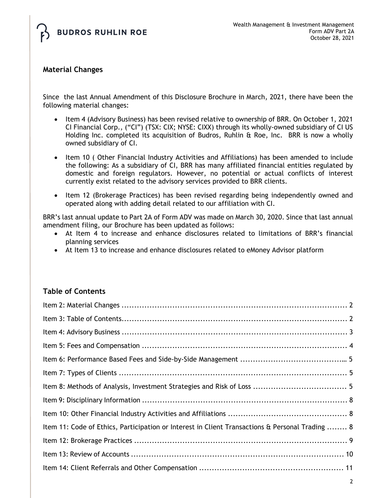

# **Material Changes**

Since the last Annual Amendment of this Disclosure Brochure in March, 2021, there have been the following material changes:

- Item 4 (Advisory Business) has been revised relative to ownership of BRR. On October 1, 2021 CI Financial Corp., ("CI") (TSX: CIX; NYSE: CIXX) through its wholly-owned subsidiary of CI US Holding Inc. completed its acquisition of Budros, Ruhlin & Roe, Inc. BRR is now a wholly owned subsidiary of CI.
- Item 10 ( Other Financial Industry Activities and Affiliations) has been amended to include the following: As a subsidiary of CI, BRR has many affiliated financial entities regulated by domestic and foreign regulators. However, no potential or actual conflicts of interest currently exist related to the advisory services provided to BRR clients.
- Item 12 (Brokerage Practices) has been revised regarding being independently owned and operated along with adding detail related to our affiliation with CI.

BRR's last annual update to Part 2A of Form ADV was made on March 30, 2020. Since that last annual amendment filing, our Brochure has been updated as follows:

- At Item 4 to increase and enhance disclosures related to limitations of BRR's financial planning services
- At Item 13 to increase and enhance disclosures related to eMoney Advisor platform

# **Table of Contents**

| Item 11: Code of Ethics, Participation or Interest in Client Transactions & Personal Trading  8 |  |
|-------------------------------------------------------------------------------------------------|--|
|                                                                                                 |  |
|                                                                                                 |  |
|                                                                                                 |  |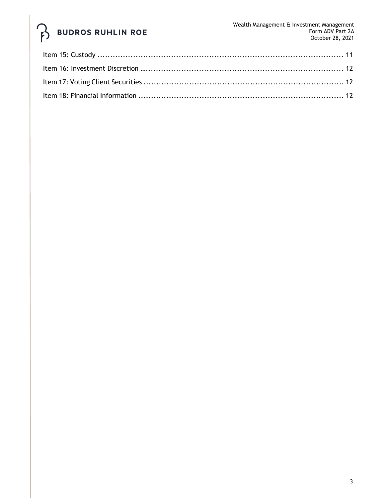# **BUDROS RUHLIN ROE**  $\hat{P}$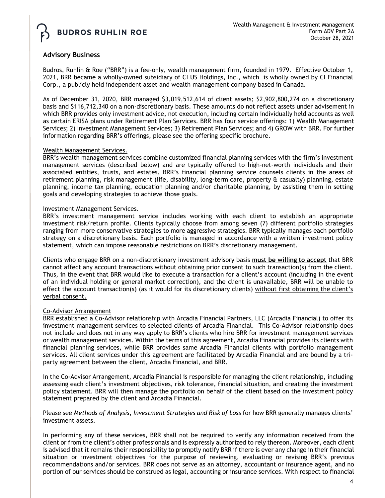

## **Advisory Business**

Budros, Ruhlin & Roe ("BRR") is a fee-only, wealth management firm, founded in 1979. Effective October 1, 2021, BRR became a wholly-owned subsidiary of CI US Holdings, Inc., which is wholly owned by CI Financial Corp., a publicly held independent asset and wealth management company based in Canada.

As of December 31, 2020, BRR managed \$3,019,512,614 of client assets; \$2,902,800,274 on a discretionary basis and \$116,712,340 on a non-discretionary basis. These amounts do not reflect assets under advisement in which BRR provides only investment advice, not execution, including certain individually held accounts as well as certain ERISA plans under Retirement Plan Services. BRR has four service offerings: 1) Wealth Management Services; 2) Investment Management Services; 3) Retirement Plan Services; and 4) GROW with BRR. For further information regarding BRR's offerings, please see the offering specific brochure.

#### Wealth Management Services.

BRR's wealth management services combine customized financial planning services with the firm's investment management services (described below) and are typically offered to high-net-worth individuals and their associated entities, trusts, and estates. BRR's financial planning service counsels clients in the areas of retirement planning, risk management (life, disability, long-term care, property & casualty) planning, estate planning, income tax planning, education planning and/or charitable planning, by assisting them in setting goals and developing strategies to achieve those goals.

#### Investment Management Services.

BRR's investment management service includes working with each client to establish an appropriate investment risk/return profile. Clients typically choose from among seven (7) different portfolio strategies ranging from more conservative strategies to more aggressive strategies. BRR typically manages each portfolio strategy on a discretionary basis. Each portfolio is managed in accordance with a written investment policy statement, which can impose reasonable restrictions on BRR's discretionary management.

Clients who engage BRR on a non-discretionary investment advisory basis **must be willing to accept** that BRR cannot affect any account transactions without obtaining prior consent to such transaction(s) from the client. Thus, in the event that BRR would like to execute a transaction for a client's account (including in the event of an individual holding or general market correction), and the client is unavailable, BRR will be unable to effect the account transaction(s) (as it would for its discretionary clients) without first obtaining the client's verbal consent.

### Co-Advisor Arrangement

BRR established a Co-Advisor relationship with Arcadia Financial Partners, LLC (Arcadia Financial) to offer its investment management services to selected clients of Arcadia Financial. This Co-Advisor relationship does not include and does not in any way apply to BRR's clients who hire BRR for investment management services or wealth management services. Within the terms of this agreement, Arcadia Financial provides its clients with financial planning services, while BRR provides same Arcadia Financial clients with portfolio management services. All client services under this agreement are facilitated by Arcadia Financial and are bound by a triparty agreement between the client, Arcadia Financial, and BRR.

In the Co-Advisor Arrangement, Arcadia Financial is responsible for managing the client relationship, including assessing each client's investment objectives, risk tolerance, financial situation, and creating the investment policy statement. BRR will then manage the portfolio on behalf of the client based on the investment policy statement prepared by the client and Arcadia Financial.

Please see *Methods of Analysis, Investment Strategies and Risk of Loss* for how BRR generally manages clients' investment assets.

In performing any of these services, BRR shall not be required to verify any information received from the client or from the client's other professionals and is expressly authorized to rely thereon. Moreover, each client is advised that it remains their responsibility to promptly notify BRR if there is ever any change in their financial situation or investment objectives for the purpose of reviewing, evaluating or revising BRR's previous recommendations and/or services. BRR does not serve as an attorney, accountant or insurance agent, and no portion of our services should be construed as legal, accounting or insurance services. With respect to financial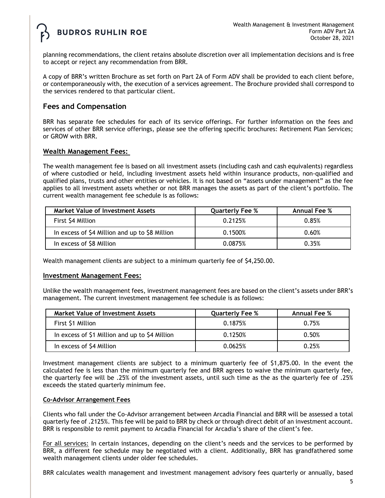

planning recommendations, the client retains absolute discretion over all implementation decisions and is free to accept or reject any recommendation from BRR.

A copy of BRR's written Brochure as set forth on Part 2A of Form ADV shall be provided to each client before, or contemporaneously with, the execution of a services agreement. The Brochure provided shall correspond to the services rendered to that particular client.

## **Fees and Compensation**

BRR has separate fee schedules for each of its service offerings. For further information on the fees and services of other BRR service offerings, please see the offering specific brochures: Retirement Plan Services; or GROW with BRR.

#### **Wealth Management Fees:**

The wealth management fee is based on all investment assets (including cash and cash equivalents) regardless of where custodied or held, including investment assets held within insurance products, non-qualified and qualified plans, trusts and other entities or vehicles. It is not based on "assets under management" as the fee applies to all investment assets whether or not BRR manages the assets as part of the client's portfolio. The current wealth management fee schedule is as follows:

| <b>Market Value of Investment Assets</b>       | <b>Quarterly Fee %</b> | <b>Annual Fee %</b> |
|------------------------------------------------|------------------------|---------------------|
| First \$4 Million                              | 0.2125%                | 0.85%               |
| In excess of \$4 Million and up to \$8 Million | 0.1500%                | 0.60%               |
| In excess of \$8 Million                       | 0.0875%                | 0.35%               |

Wealth management clients are subject to a minimum quarterly fee of \$4,250.00.

#### **Investment Management Fees:**

Unlike the wealth management fees, investment management fees are based on the client's assets under BRR's management. The current investment management fee schedule is as follows:

| Market Value of Investment Assets              | <b>Quarterly Fee %</b> | <b>Annual Fee %</b> |
|------------------------------------------------|------------------------|---------------------|
| First \$1 Million                              | 0.1875%                | 0.75%               |
| In excess of \$1 Million and up to \$4 Million | 0.1250%                | 0.50%               |
| In excess of \$4 Million                       | 0.0625%                | 0.25%               |

Investment management clients are subject to a minimum quarterly fee of \$1,875.00. In the event the calculated fee is less than the minimum quarterly fee and BRR agrees to waive the minimum quarterly fee, the quarterly fee will be .25% of the investment assets, until such time as the as the quarterly fee of .25% exceeds the stated quarterly minimum fee.

#### **Co-Advisor Arrangement Fees**

Clients who fall under the Co-Advisor arrangement between Arcadia Financial and BRR will be assessed a total quarterly fee of .2125%. This fee will be paid to BRR by check or through direct debit of an investment account. BRR is responsible to remit payment to Arcadia Financial for Arcadia's share of the client's fee.

For all services: In certain instances, depending on the client's needs and the services to be performed by BRR, a different fee schedule may be negotiated with a client. Additionally, BRR has grandfathered some wealth management clients under older fee schedules.

BRR calculates wealth management and investment management advisory fees quarterly or annually, based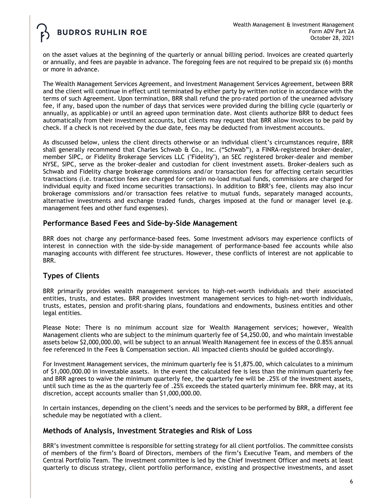on the asset values at the beginning of the quarterly or annual billing period. Invoices are created quarterly or annually, and fees are payable in advance. The foregoing fees are not required to be prepaid six (6) months or more in advance.

The Wealth Management Services Agreement, and Investment Management Services Agreement, between BRR and the client will continue in effect until terminated by either party by written notice in accordance with the terms of such Agreement. Upon termination, BRR shall refund the pro-rated portion of the unearned advisory fee, if any, based upon the number of days that services were provided during the billing cycle (quarterly or annually, as applicable) or until an agreed upon termination date. Most clients authorize BRR to deduct fees automatically from their investment accounts, but clients may request that BRR allow invoices to be paid by check. If a check is not received by the due date, fees may be deducted from investment accounts.

As discussed below, unless the client directs otherwise or an individual client's circumstances require, BRR shall generally recommend that Charles Schwab & Co., Inc. ("Schwab"), a FINRA-registered broker-dealer, member SIPC, or Fidelity Brokerage Services LLC ("Fidelity"), an SEC registered broker-dealer and member NYSE, SIPC, serve as the broker-dealer and custodian for client investment assets. Broker-dealers such as Schwab and Fidelity charge brokerage commissions and/or transaction fees for affecting certain securities transactions (i.e. transaction fees are charged for certain no-load mutual funds, commissions are charged for individual equity and fixed income securities transactions). In addition to BRR's fee, clients may also incur brokerage commissions and/or transaction fees relative to mutual funds, separately managed accounts, alternative investments and exchange traded funds, charges imposed at the fund or manager level (e.g. management fees and other fund expenses).

## **Performance Based Fees and Side-by-Side Management**

BRR does not charge any performance-based fees. Some investment advisors may experience conflicts of interest in connection with the side-by-side management of performance-based fee accounts while also managing accounts with different fee structures. However, these conflicts of interest are not applicable to BRR.

## **Types of Clients**

BRR primarily provides wealth management services to high-net-worth individuals and their associated entities, trusts, and estates. BRR provides investment management services to high-net-worth individuals, trusts, estates, pension and profit-sharing plans, foundations and endowments, business entities and other legal entities.

Please Note: There is no minimum account size for Wealth Management services; however, Wealth Management clients who are subject to the minimum quarterly fee of \$4,250.00, and who maintain investable assets below \$2,000,000.00, will be subject to an annual Wealth Management fee in excess of the 0.85% annual fee referenced in the Fees & Compensation section. All impacted clients should be guided accordingly.

For Investment Management services, the minimum quarterly fee is \$1,875.00, which calculates to a minimum of \$1,000,000.00 in investable assets. In the event the calculated fee is less than the minimum quarterly fee and BRR agrees to waive the minimum quarterly fee, the quarterly fee will be .25% of the investment assets, until such time as the as the quarterly fee of .25% exceeds the stated quarterly minimum fee. BRR may, at its discretion, accept accounts smaller than \$1,000,000.00.

In certain instances, depending on the client's needs and the services to be performed by BRR, a different fee schedule may be negotiated with a client.

## **Methods of Analysis, Investment Strategies and Risk of Loss**

BRR's investment committee is responsible for setting strategy for all client portfolios. The committee consists of members of the firm's Board of Directors, members of the firm's Executive Team, and members of the Central Portfolio Team. The investment committee is led by the Chief Investment Officer and meets at least quarterly to discuss strategy, client portfolio performance, existing and prospective investments, and asset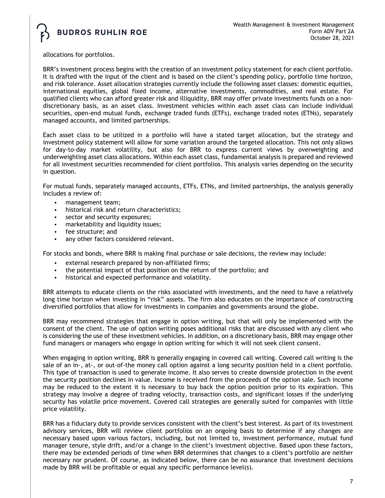allocations for portfolios.

BRR's investment process begins with the creation of an investment policy statement for each client portfolio. It is drafted with the input of the client and is based on the client's spending policy, portfolio time horizon, and risk tolerance. Asset allocation strategies currently include the following asset classes: domestic equities, international equities, global fixed income, alternative investments, commodities, and real estate. For qualified clients who can afford greater risk and illiquidity, BRR may offer private investments funds on a nondiscretionary basis, as an asset class. Investment vehicles within each asset class can include individual securities, open-end mutual funds, exchange traded funds (ETFs), exchange traded notes (ETNs), separately managed accounts, and limited partnerships.

Each asset class to be utilized in a portfolio will have a stated target allocation, but the strategy and investment policy statement will allow for some variation around the targeted allocation. This not only allows for day-to-day market volatility, but also for BRR to express current views by overweighting and underweighting asset class allocations. Within each asset class, fundamental analysis is prepared and reviewed for all investment securities recommended for client portfolios. This analysis varies depending on the security in question.

For mutual funds, separately managed accounts, ETFs, ETNs, and limited partnerships, the analysis generally includes a review of:

- management team;
- historical risk and return characteristics;
- sector and security exposures;
- marketability and liquidity issues;
- fee structure; and
- any other factors considered relevant.

For stocks and bonds, where BRR is making final purchase or sale decisions, the review may include:

- external research prepared by non-affiliated firms;
- the potential impact of that position on the return of the portfolio; and
- historical and expected performance and volatility.

BRR attempts to educate clients on the risks associated with investments, and the need to have a relatively long time horizon when investing in "risk" assets. The firm also educates on the importance of constructing diversified portfolios that allow for investments in companies and governments around the globe.

BRR may recommend strategies that engage in option writing, but that will only be implemented with the consent of the client. The use of option writing poses additional risks that are discussed with any client who is considering the use of these investment vehicles. In addition, on a discretionary basis, BRR may engage other fund managers or managers who engage in option writing for which it will not seek client consent.

When engaging in option writing, BRR is generally engaging in covered call writing. Covered call writing is the sale of an in-, at-, or out-of-the money call option against a long security position held in a client portfolio. This type of transaction is used to generate income. It also serves to create downside protection in the event the security position declines in value. Income is received from the proceeds of the option sale. Such income may be reduced to the extent it is necessary to buy back the option position prior to its expiration. This strategy may involve a degree of trading velocity, transaction costs, and significant losses if the underlying security has volatile price movement. Covered call strategies are generally suited for companies with little price volatility.

BRR has a fiduciary duty to provide services consistent with the client's best interest. As part of its investment advisory services, BRR will review client portfolios on an ongoing basis to determine if any changes are necessary based upon various factors, including, but not limited to, investment performance, mutual fund manager tenure, style drift, and/or a change in the client's investment objective. Based upon these factors, there may be extended periods of time when BRR determines that changes to a client's portfolio are neither necessary nor prudent. Of course, as indicated below, there can be no assurance that investment decisions made by BRR will be profitable or equal any specific performance level(s).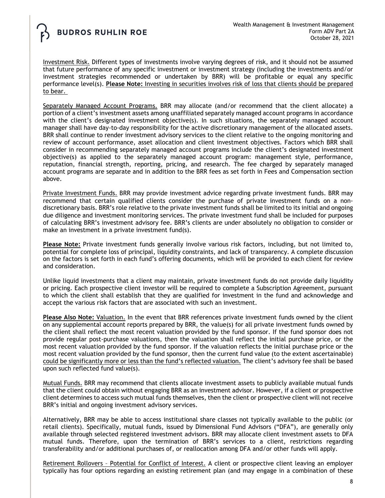Investment Risk. Different types of investments involve varying degrees of risk, and it should not be assumed that future performance of any specific investment or investment strategy (including the investments and/or investment strategies recommended or undertaken by BRR) will be profitable or equal any specific performance level(s). **Please Note:** Investing in securities involves risk of loss that clients should be prepared to bear.

Separately Managed Account Programs. BRR may allocate (and/or recommend that the client allocate) a portion of a client's investment assets among unaffiliated separately managed account programs in accordance with the client's designated investment objective(s). In such situations, the separately managed account manager shall have day-to-day responsibility for the active discretionary management of the allocated assets. BRR shall continue to render investment advisory services to the client relative to the ongoing monitoring and review of account performance, asset allocation and client investment objectives. Factors which BRR shall consider in recommending separately managed account programs include the client's designated investment objective(s) as applied to the separately managed account program: management style, performance, reputation, financial strength, reporting, pricing, and research. The fee charged by separately managed account programs are separate and in addition to the BRR fees as set forth in Fees and Compensation section above.

Private Investment Funds. BRR may provide investment advice regarding private investment funds. BRR may recommend that certain qualified clients consider the purchase of private investment funds on a nondiscretionary basis. BRR's role relative to the private investment funds shall be limited to its initial and ongoing due diligence and investment monitoring services. The private investment fund shall be included for purposes of calculating BRR's investment advisory fee. BRR's clients are under absolutely no obligation to consider or make an investment in a private investment fund(s).

**Please Note:** Private investment funds generally involve various risk factors, including, but not limited to, potential for complete loss of principal, liquidity constraints, and lack of transparency. A complete discussion on the factors is set forth in each fund's offering documents, which will be provided to each client for review and consideration.

Unlike liquid investments that a client may maintain, private investment funds do not provide daily liquidity or pricing. Each prospective client investor will be required to complete a Subscription Agreement, pursuant to which the client shall establish that they are qualified for investment in the fund and acknowledge and accept the various risk factors that are associated with such an investment.

**Please Also Note:** Valuation. In the event that BRR references private investment funds owned by the client on any supplemental account reports prepared by BRR, the value(s) for all private investment funds owned by the client shall reflect the most recent valuation provided by the fund sponsor. If the fund sponsor does not provide regular post-purchase valuations, then the valuation shall reflect the initial purchase price, or the most recent valuation provided by the fund sponsor. If the valuation reflects the initial purchase price or the most recent valuation provided by the fund sponsor, then the current fund value (to the extent ascertainable) could be significantly more or less than the fund's reflected valuation. The client's advisory fee shall be based upon such reflected fund value(s).

Mutual Funds. BRR may recommend that clients allocate investment assets to publicly available mutual funds that the client could obtain without engaging BRR as an investment advisor. However, if a client or prospective client determines to access such mutual funds themselves, then the client or prospective client will not receive BRR's initial and ongoing investment advisory services.

Alternatively, BRR may be able to access institutional share classes not typically available to the public (or retail clients). Specifically, mutual funds, issued by Dimensional Fund Advisors ("DFA"), are generally only available through selected registered investment advisors. BRR may allocate client investment assets to DFA mutual funds. Therefore, upon the termination of BRR's services to a client, restrictions regarding transferability and/or additional purchases of, or reallocation among DFA and/or other funds will apply.

Retirement Rollovers – Potential for Conflict of Interest. A client or prospective client leaving an employer typically has four options regarding an existing retirement plan (and may engage in a combination of these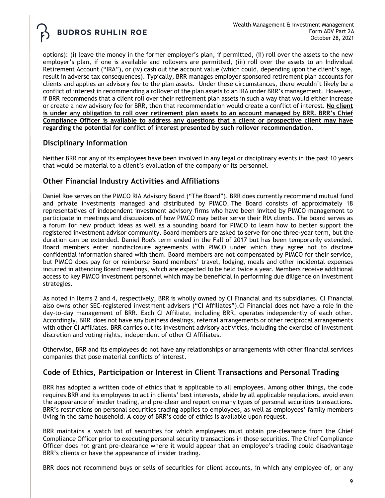options): (i) leave the money in the former employer's plan, if permitted, (ii) roll over the assets to the new employer's plan, if one is available and rollovers are permitted, (iii) roll over the assets to an Individual Retirement Account ("IRA"), or (iv) cash out the account value (which could, depending upon the client's age, result in adverse tax consequences). Typically, BRR manages employer sponsored retirement plan accounts for clients and applies an advisory fee to the plan assets. Under these circumstances, there wouldn't likely be a conflict of interest in recommending a rollover of the plan assets to an IRA under BRR's management. However, if BRR recommends that a client roll over their retirement plan assets in such a way that would either increase or create a new advisory fee for BRR, then that recommendation would create a conflict of interest. **No client is under any obligation to roll over retirement plan assets to an account managed by BRR. BRR's Chief Compliance Officer is available to address any questions that a client or prospective client may have regarding the potential for conflict of interest presented by such rollover recommendation.**

# **Disciplinary Information**

Neither BRR nor any of its employees have been involved in any legal or disciplinary events in the past 10 years that would be material to a client's evaluation of the company or its personnel.

# **Other Financial Industry Activities and Affiliations**

Daniel Roe serves on the PIMCO RIA Advisory Board ("The Board"). BRR does currently recommend mutual fund and private investments managed and distributed by PIMCO. The Board consists of approximately 18 representatives of independent investment advisory firms who have been invited by PIMCO management to participate in meetings and discussions of how PIMCO may better serve their RIA clients. The board serves as a forum for new product ideas as well as a sounding board for PIMCO to learn how to better support the registered investment advisor community. Board members are asked to serve for one three-year term, but the duration can be extended. Daniel Roe's term ended in the Fall of 2017 but has been temporarily extended. Board members enter nondisclosure agreements with PIMCO under which they agree not to disclose confidential information shared with them. Board members are not compensated by PIMCO for their service, but PIMCO does pay for or reimburse Board members' travel, lodging, meals and other incidental expenses incurred in attending Board meetings, which are expected to be held twice a year. Members receive additional access to key PIMCO investment personnel which may be beneficial in performing due diligence on investment strategies.

As noted in Items 2 and 4, respectively, BRR is wholly owned by CI Financial and its subsidiaries. CI Financial also owns other SEC-registered investment advisers ("CI Affiliates").CI Financial does not have a role in the day-to-day management of BRR. Each CI Affiliate, including BRR, operates independently of each other. Accordingly, BRR does not have any business dealings, referral arrangements or other reciprocal arrangements with other CI Affiliates. BRR carries out its investment advisory activities, including the exercise of investment discretion and voting rights, independent of other CI Affiliates.

Otherwise, BRR and its employees do not have any relationships or arrangements with other financial services companies that pose material conflicts of interest.

# **Code of Ethics, Participation or Interest in Client Transactions and Personal Trading**

BRR has adopted a written code of ethics that is applicable to all employees. Among other things, the code requires BRR and its employees to act in clients' best interests, abide by all applicable regulations, avoid even the appearance of insider trading, and pre-clear and report on many types of personal securities transactions. BRR's restrictions on personal securities trading applies to employees, as well as employees' family members living in the same household. A copy of BRR's code of ethics is available upon request.

BRR maintains a watch list of securities for which employees must obtain pre-clearance from the Chief Compliance Officer prior to executing personal security transactions in those securities. The Chief Compliance Officer does not grant pre-clearance where it would appear that an employee's trading could disadvantage BRR's clients or have the appearance of insider trading.

BRR does not recommend buys or sells of securities for client accounts, in which any employee of, or any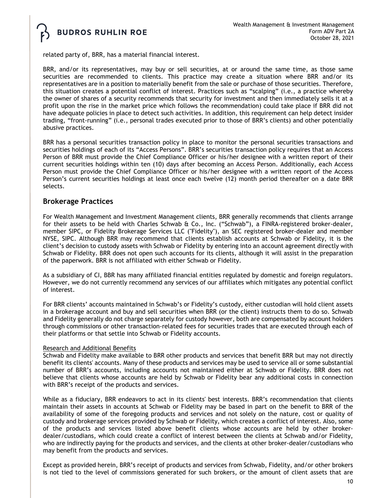

related party of, BRR, has a material financial interest.

BRR, and/or its representatives, may buy or sell securities, at or around the same time, as those same securities are recommended to clients. This practice may create a situation where BRR and/or its representatives are in a position to materially benefit from the sale or purchase of those securities. Therefore, this situation creates a potential conflict of interest. Practices such as "scalping" (i.e., a practice whereby the owner of shares of a security recommends that security for investment and then immediately sells it at a profit upon the rise in the market price which follows the recommendation) could take place if BRR did not have adequate policies in place to detect such activities. In addition, this requirement can help detect insider trading, "front-running" (i.e., personal trades executed prior to those of BRR's clients) and other potentially abusive practices.

BRR has a personal securities transaction policy in place to monitor the personal securities transactions and securities holdings of each of its "Access Persons". BRR's securities transaction policy requires that an Access Person of BRR must provide the Chief Compliance Officer or his/her designee with a written report of their current securities holdings within ten (10) days after becoming an Access Person. Additionally, each Access Person must provide the Chief Compliance Officer or his/her designee with a written report of the Access Person's current securities holdings at least once each twelve (12) month period thereafter on a date BRR selects.

## **Brokerage Practices**

For Wealth Management and Investment Management clients, BRR generally recommends that clients arrange for their assets to be held with Charles Schwab & Co., Inc. ("Schwab"), a FINRA-registered broker-dealer, member SIPC, or Fidelity Brokerage Services LLC ("Fidelity"), an SEC registered broker-dealer and member NYSE, SIPC. Although BRR may recommend that clients establish accounts at Schwab or Fidelity, it is the client's decision to custody assets with Schwab or Fidelity by entering into an account agreement directly with Schwab or Fidelity. BRR does not open such accounts for its clients, although it will assist in the preparation of the paperwork. BRR is not affiliated with either Schwab or Fidelity.

As a subsidiary of CI, BBR has many affiliated financial entities regulated by domestic and foreign regulators. However, we do not currently recommend any services of our affiliates which mitigates any potential conflict of interest.

For BRR clients' accounts maintained in Schwab's or Fidelity's custody, either custodian will hold client assets in a brokerage account and buy and sell securities when BRR (or the client) instructs them to do so. Schwab and Fidelity generally do not charge separately for custody however, both are compensated by account holders through commissions or other transaction-related fees for securities trades that are executed through each of their platforms or that settle into Schwab or Fidelity accounts.

#### Research and Additional Benefits

Schwab and Fidelity make available to BRR other products and services that benefit BRR but may not directly benefit its clients' accounts. Many of these products and services may be used to service all or some substantial number of BRR's accounts, including accounts not maintained either at Schwab or Fidelity. BRR does not believe that clients whose accounts are held by Schwab or Fidelity bear any additional costs in connection with BRR's receipt of the products and services.

While as a fiduciary, BRR endeavors to act in its clients' best interests. BRR's recommendation that clients maintain their assets in accounts at Schwab or Fidelity may be based in part on the benefit to BRR of the availability of some of the foregoing products and services and not solely on the nature, cost or quality of custody and brokerage services provided by Schwab or Fidelity, which creates a conflict of interest. Also, some of the products and services listed above benefit clients whose accounts are held by other brokerdealer/custodians, which could create a conflict of interest between the clients at Schwab and/or Fidelity, who are indirectly paying for the products and services, and the clients at other broker-dealer/custodians who may benefit from the products and services.

Except as provided herein, BRR's receipt of products and services from Schwab, Fidelity, and/or other brokers is not tied to the level of commissions generated for such brokers, or the amount of client assets that are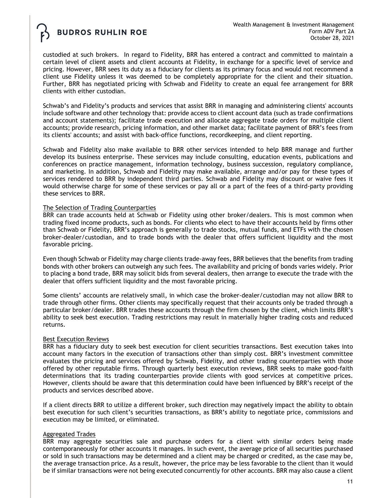custodied at such brokers. In regard to Fidelity, BRR has entered a contract and committed to maintain a certain level of client assets and client accounts at Fidelity, in exchange for a specific level of service and pricing. However, BRR sees its duty as a fiduciary for clients as its primary focus and would not recommend a client use Fidelity unless it was deemed to be completely appropriate for the client and their situation. Further, BRR has negotiated pricing with Schwab and Fidelity to create an equal fee arrangement for BRR clients with either custodian.

Schwab's and Fidelity's products and services that assist BRR in managing and administering clients' accounts include software and other technology that: provide access to client account data (such as trade confirmations and account statements); facilitate trade execution and allocate aggregate trade orders for multiple client accounts; provide research, pricing information, and other market data; facilitate payment of BRR's fees from its clients' accounts; and assist with back-office functions, recordkeeping, and client reporting.

Schwab and Fidelity also make available to BRR other services intended to help BRR manage and further develop its business enterprise. These services may include consulting, education events, publications and conferences on practice management, information technology, business succession, regulatory compliance, and marketing. In addition, Schwab and Fidelity may make available, arrange and/or pay for these types of services rendered to BRR by independent third parties. Schwab and Fidelity may discount or waive fees it would otherwise charge for some of these services or pay all or a part of the fees of a third-party providing these services to BRR.

#### The Selection of Trading Counterparties

BRR can trade accounts held at Schwab or Fidelity using other broker/dealers. This is most common when trading fixed income products, such as bonds. For clients who elect to have their accounts held by firms other than Schwab or Fidelity, BRR's approach is generally to trade stocks, mutual funds, and ETFs with the chosen broker-dealer/custodian, and to trade bonds with the dealer that offers sufficient liquidity and the most favorable pricing.

Even though Schwab or Fidelity may charge clients trade-away fees, BRR believes that the benefits from trading bonds with other brokers can outweigh any such fees. The availability and pricing of bonds varies widely. Prior to placing a bond trade, BRR may solicit bids from several dealers, then arrange to execute the trade with the dealer that offers sufficient liquidity and the most favorable pricing.

Some clients' accounts are relatively small, in which case the broker-dealer/custodian may not allow BRR to trade through other firms. Other clients may specifically request that their accounts only be traded through a particular broker/dealer. BRR trades these accounts through the firm chosen by the client, which limits BRR's ability to seek best execution. Trading restrictions may result in materially higher trading costs and reduced returns.

### Best Execution Reviews

BRR has a fiduciary duty to seek best execution for client securities transactions. Best execution takes into account many factors in the execution of transactions other than simply cost. BRR's investment committee evaluates the pricing and services offered by Schwab, Fidelity, and other trading counterparties with those offered by other reputable firms. Through quarterly best execution reviews, BRR seeks to make good-faith determinations that its trading counterparties provide clients with good services at competitive prices. However, clients should be aware that this determination could have been influenced by BRR's receipt of the products and services described above.

If a client directs BRR to utilize a different broker, such direction may negatively impact the ability to obtain best execution for such client's securities transactions, as BRR's ability to negotiate price, commissions and execution may be limited, or eliminated.

### Aggregated Trades

BRR may aggregate securities sale and purchase orders for a client with similar orders being made contemporaneously for other accounts it manages. In such event, the average price of all securities purchased or sold in such transactions may be determined and a client may be charged or credited, as the case may be, the average transaction price. As a result, however, the price may be less favorable to the client than it would be if similar transactions were not being executed concurrently for other accounts. BRR may also cause a client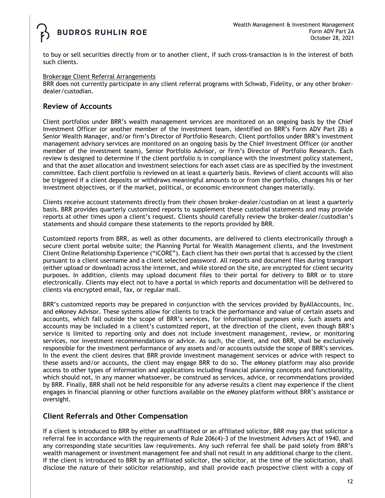

to buy or sell securities directly from or to another client, if such cross-transaction is in the interest of both such clients.

#### Brokerage Client Referral Arrangements

BRR does not currently participate in any client referral programs with Schwab, Fidelity, or any other brokerdealer/custodian.

## **Review of Accounts**

Client portfolios under BRR's wealth management services are monitored on an ongoing basis by the Chief Investment Officer (or another member of the investment team, identified on BRR's Form ADV Part 2B) a Senior Wealth Manager, and/or firm's Director of Portfolio Research. Client portfolios under BRR's investment management advisory services are monitored on an ongoing basis by the Chief Investment Officer (or another member of the investment team), Senior Portfolio Advisor, or firm's Director of Portfolio Research. Each review is designed to determine if the client portfolio is in compliance with the investment policy statement, and that the asset allocation and investment selections for each asset class are as specified by the investment committee. Each client portfolio is reviewed on at least a quarterly basis. Reviews of client accounts will also be triggered if a client deposits or withdraws meaningful amounts to or from the portfolio, changes his or her investment objectives, or if the market, political, or economic environment changes materially.

Clients receive account statements directly from their chosen broker-dealer/custodian on at least a quarterly basis. BRR provides quarterly customized reports to supplement these custodial statements and may provide reports at other times upon a client's request. Clients should carefully review the broker-dealer/custodian's statements and should compare these statements to the reports provided by BRR.

Customized reports from BRR, as well as other documents, are delivered to clients electronically through a secure client portal website suite; the Planning Portal for Wealth Management clients, and the Investment Client Online Relationship Experience ("iCORE"). Each client has their own portal that is accessed by the client pursuant to a client username and a client selected password. All reports and document files during transport (either upload or download) across the internet, and while stored on the site, are encrypted for client security purposes. In addition, clients may upload document files to their portal for delivery to BRR or to store electronically. Clients may elect not to have a portal in which reports and documentation will be delivered to clients via encrypted email, fax, or regular mail.

BRR's customized reports may be prepared in conjunction with the services provided by ByAllAccounts, Inc. and eMoney Advisor. These systems allow for clients to track the performance and value of certain assets and accounts, which fall outside the scope of BRR's services, for informational purposes only. Such assets and accounts may be included in a client's customized report, at the direction of the client, even though BRR's service is limited to reporting only and does not include investment management, review, or monitoring services, nor investment recommendations or advice. As such, the client, and not BRR, shall be exclusively responsible for the investment performance of any assets and/or accounts outside the scope of BRR's services. In the event the client desires that BRR provide investment management services or advice with respect to these assets and/or accounts, the client may engage BRR to do so. The eMoney platform may also provide access to other types of information and applications including financial planning concepts and functionality, which should not, in any manner whatsoever, be construed as services, advice, or recommendations provided by BRR. Finally, BRR shall not be held responsible for any adverse results a client may experience if the client engages in financial planning or other functions available on the eMoney platform without BRR's assistance or oversight.

## **Client Referrals and Other Compensation**

If a client is introduced to BRR by either an unaffiliated or an affiliated solicitor, BRR may pay that solicitor a referral fee in accordance with the requirements of Rule 206(4)-3 of the Investment Advisers Act of 1940, and any corresponding state securities law requirements. Any such referral fee shall be paid solely from BRR's wealth management or investment management fee and shall not result in any additional charge to the client. If the client is introduced to BRR by an affiliated solicitor, the solicitor, at the time of the solicitation, shall disclose the nature of their solicitor relationship, and shall provide each prospective client with a copy of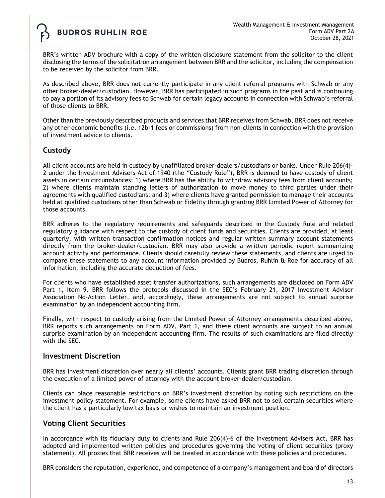BRR's written ADV brochure with a copy of the written disclosure statement from the solicitor to the client disclosing the terms of the solicitation arrangement between BRR and the solicitor, including the compensation to be received by the solicitor from BRR.

As described above, BRR does not currently participate in any client referral programs with Schwab or any other broker-dealer/custodian. However, BRR has participated in such programs in the past and is continuing to pay a portion of its advisory fees to Schwab for certain legacy accounts in connection with Schwab's referral of those clients to BRR.

Other than the previously described products and services that BRR receives from Schwab, BRR does not receive any other economic benefits (i.e. 12b-1 fees or commissions) from non-clients in connection with the provision of investment advice to clients.

# **Custody**

All client accounts are held in custody by unaffiliated broker-dealers/custodians or banks. Under Rule 206(4)- 2 under the Investment Advisers Act of 1940 (the "Custody Rule"), BRR is deemed to have custody of client assets in certain circumstances: 1) where BRR has the ability to withdraw advisory fees from client accounts; 2) where clients maintain standing letters of authorization to move money to third parties under their agreements with qualified custodians; and 3) where clients have granted permission to manage their accounts held at qualified custodians other than Schwab or Fidelity through granting BRR Limited Power of Attorney for those accounts.

BRR adheres to the regulatory requirements and safeguards described in the Custody Rule and related regulatory guidance with respect to the custody of client funds and securities. Clients are provided, at least quarterly, with written transaction confirmation notices and regular written summary account statements directly from the broker-dealer/custodian. BRR may also provide a written periodic report summarizing account activity and performance. Clients should carefully review these statements, and clients are urged to compare these statements to any account information provided by Budros, Ruhlin & Roe for accuracy of all information, including the accurate deduction of fees.

For clients who have established asset transfer authorizations, such arrangements are disclosed on Form ADV Part 1, Item 9. BRR follows the protocols discussed in the SEC's February 21, 2017 Investment Adviser Association No-Action Letter, and, accordingly, these arrangements are not subject to annual surprise examination by an independent accounting firm.

Finally, with respect to custody arising from the Limited Power of Attorney arrangements described above, BRR reports such arrangements on Form ADV, Part 1, and these client accounts are subject to an annual surprise examination by an independent accounting firm. The results of such examinations are filed directly with the SEC.

## **Investment Discretion**

BRR has investment discretion over nearly all clients' accounts. Clients grant BRR trading discretion through the execution of a limited power of attorney with the account broker-dealer/custodian.

Clients can place reasonable restrictions on BRR's investment discretion by noting such restrictions on the investment policy statement. For example, some clients have asked BRR not to sell certain securities where the client has a particularly low tax basis or wishes to maintain an investment position.

# **Voting Client Securities**

In accordance with its fiduciary duty to clients and Rule 206(4)-6 of the Investment Advisers Act, BRR has adopted and implemented written policies and procedures governing the voting of client securities (proxy statement). All proxies that BRR receives will be treated in accordance with these policies and procedures.

BRR considers the reputation, experience, and competence of a company's management and board of directors